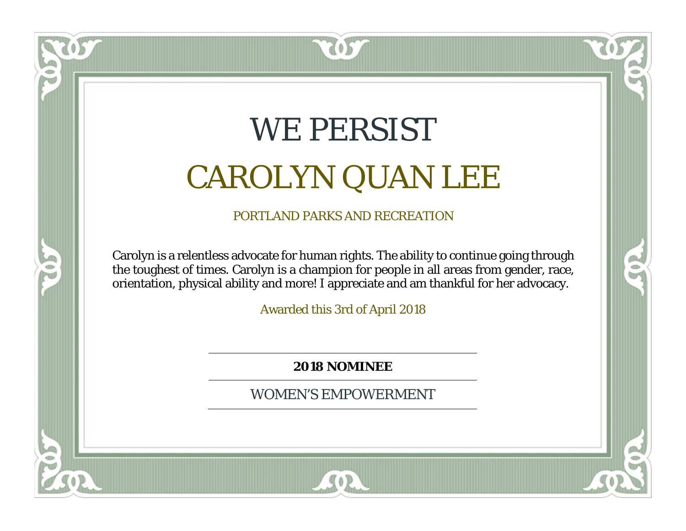# WE PERSIST CAROLYN QUAN LEE

 $\mathbf{0}$ 

PORTLAND PARKS AND RECREATION

Carolyn is a relentless advocate for human rights. The ability to continue going through the toughest of times. Carolyn is a champion for people in all areas from gender, race, orientation, physical ability and more! I appreciate and am thankful for her advocacy.

Awarded this 3rd of April 2018

**2018 NOMINEE**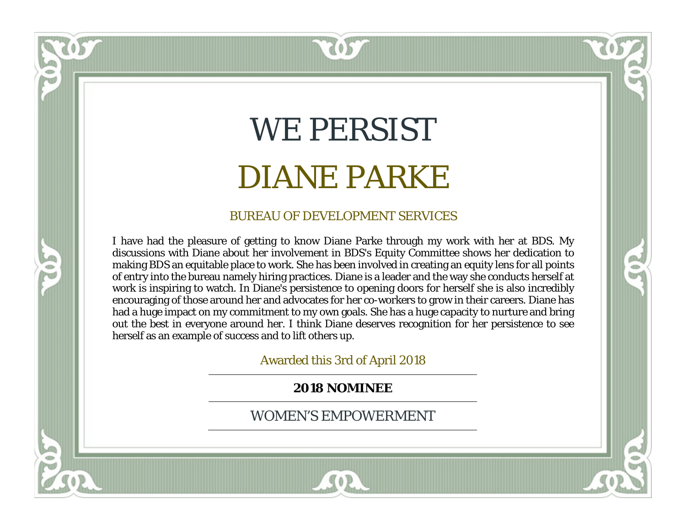## WE PERSIST DIANE PARKE

 $\left( \mathbf{0}\right)$ 

#### BUREAU OF DEVELOPMENT SERVICES

I have had the pleasure of getting to know Diane Parke through my work with her at BDS. My discussions with Diane about her involvement in BDS's Equity Committee shows her dedication to making BDS an equitable place to work. She has been involved in creating an equity lens for all points of entry into the bureau namely hiring practices. Diane is a leader and the way she conducts herself at work is inspiring to watch. In Diane's persistence to opening doors for herself she is also incredibly encouraging of those around her and advocates for her co-workers to grow in their careers. Diane has had a huge impact on my commitment to my own goals. She has a huge capacity to nurture and bring out the best in everyone around her. I think Diane deserves recognition for her persistence to see herself as an example of success and to lift others up.

Awarded this 3rd of April 2018

**2018 NOMINEE**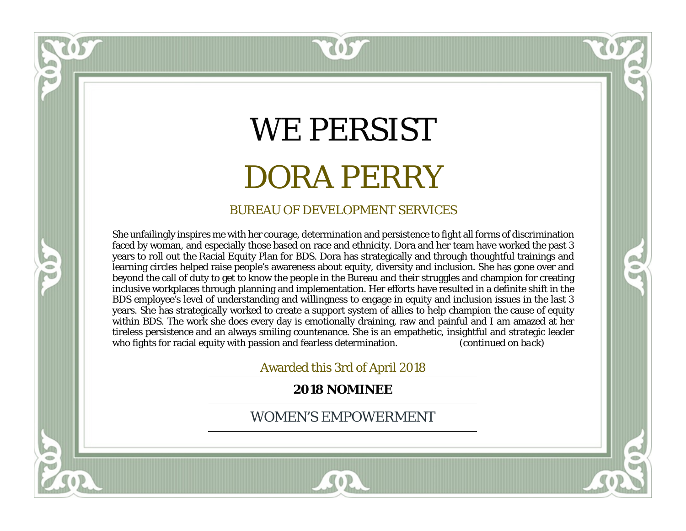## WE PERSIST DORA PERRY

 $\left( 0.5\right)$ 

#### BUREAU OF DEVELOPMENT SERVICES

She unfailingly inspires me with her courage, determination and persistence to fight all forms of discrimination faced by woman, and especially those based on race and ethnicity. Dora and her team have worked the past 3 years to roll out the Racial Equity Plan for BDS. Dora has strategically and through thoughtful trainings and learning circles helped raise people's awareness about equity, diversity and inclusion. She has gone over and beyond the call of duty to get to know the people in the Bureau and their struggles and champion for creating inclusive workplaces through planning and implementation. Her efforts have resulted in a definite shift in the BDS employee's level of understanding and willingness to engage in equity and inclusion issues in the last 3 years. She has strategically worked to create a support system of allies to help champion the cause of equity within BDS. The work she does every day is emotionally draining, raw and painful and I am amazed at her tireless persistence and an always smiling countenance. She is an empathetic, insightful and strategic leader who fights for racial equity with passion and fearless determination. (*continued on back*)

្ត

Awarded this 3rd of April 2018

**2018 NOMINEE**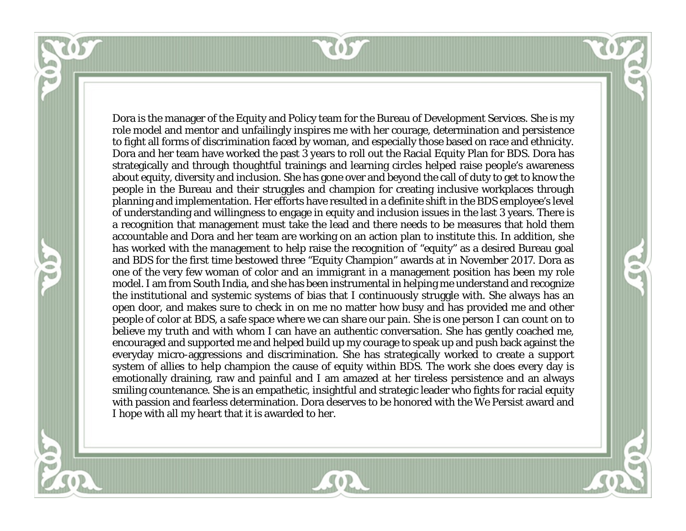

Dora is the manager of the Equity and Policy team for the Bureau of Development Services. She is my role model and mentor and unfailingly inspires me with her courage, determination and persistence to fight all forms of discrimination faced by woman, and especially those based on race and ethnicity. Dora and her team have worked the past 3 years to roll out the Racial Equity Plan for BDS. Dora has strategically and through thoughtful trainings and learning circles helped raise people's awareness about equity, diversity and inclusion. She has gone over and beyond the call of duty to get to know the people in the Bureau and their struggles and champion for creating inclusive workplaces through planning and implementation. Her efforts have resulted in a definite shift in the BDS employee's level of understanding and willingness to engage in equity and inclusion issues in the last 3 years. There is a recognition that management must take the lead and there needs to be measures that hold them accountable and Dora and her team are working on an action plan to institute this. In addition, she has worked with the management to help raise the recognition of "equity" as a desired Bureau goal and BDS for the first time bestowed three "Equity Champion" awards at in November 2017. Dora as one of the very few woman of color and an immigrant in a management position has been my role model. I am from South India, and she has been instrumental in helping me understand and recognize the institutional and systemic systems of bias that I continuously struggle with. She always has an open door, and makes sure to check in on me no matter how busy and has provided me and other people of color at BDS, a safe space where we can share our pain. She is one person I can count on to believe my truth and with whom I can have an authentic conversation. She has gently coached me, encouraged and supported me and helped build up my courage to speak up and push back against the everyday micro-aggressions and discrimination. She has strategically worked to create a support system of allies to help champion the cause of equity within BDS. The work she does every day is emotionally draining, raw and painful and I am amazed at her tireless persistence and an always smiling countenance. She is an empathetic, insightful and strategic leader who fights for racial equity with passion and fearless determination. Dora deserves to be honored with the We Persist award and I hope with all my heart that it is awarded to her.

52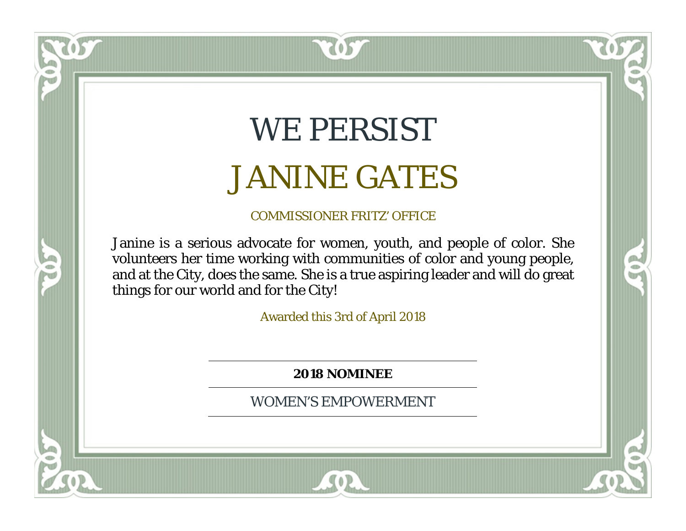### WE PERSIST JANINE GATES

 $\bullet$ <sup>5</sup>

### COMMISSIONER FRITZ' OFFICE

Janine is a serious advocate for women, youth, and people of color. She volunteers her time working with communities of color and young people, and at the City, does the same. She is a true aspiring leader and will do great things for our world and for the City!

Awarded this 3rd of April 2018

**2018 NOMINEE**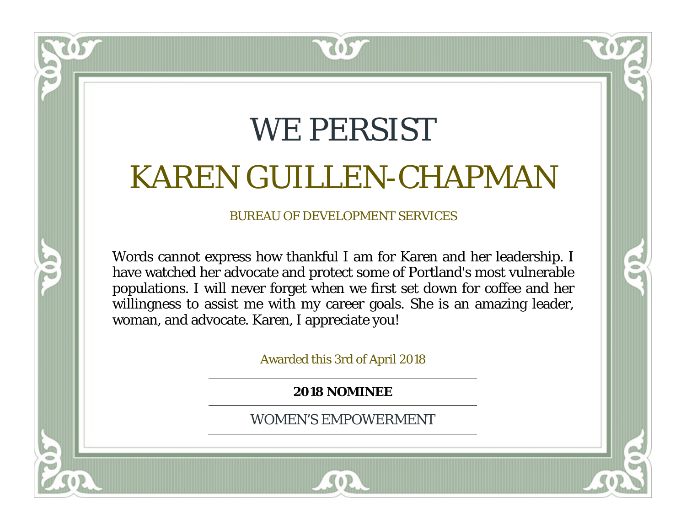### WE PERSIST KAREN GUILLEN-CHAPMAN

### BUREAU OF DEVELOPMENT SERVICES

Words cannot express how thankful I am for Karen and her leadership. I have watched her advocate and protect some of Portland's most vulnerable populations. I will never forget when we first set down for coffee and her willingness to assist me with my career goals. She is an amazing leader, woman, and advocate. Karen, I appreciate you!

Awarded this 3rd of April 2018

**2018 NOMINEE**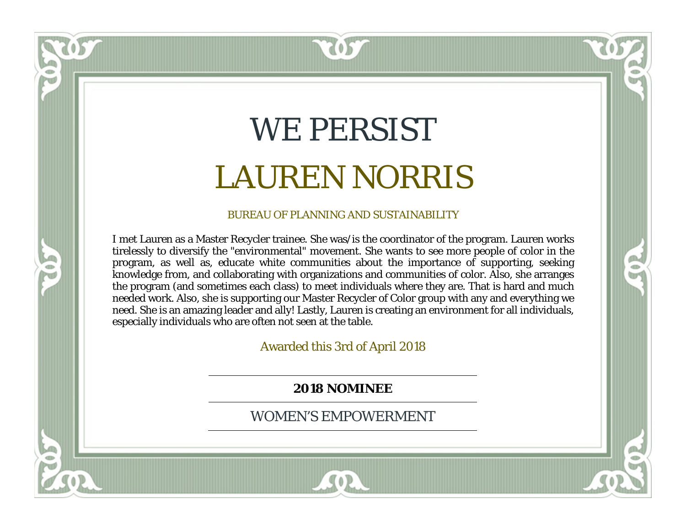### WE PERSIST LAUREN NORRIS

 $\left( \mathbf{0}\right)$ 

#### BUREAU OF PLANNING AND SUSTAINABILITY

I met Lauren as a Master Recycler trainee. She was/is the coordinator of the program. Lauren works tirelessly to diversify the "environmental" movement. She wants to see more people of color in the program, as well as, educate white communities about the importance of supporting, seeking knowledge from, and collaborating with organizations and communities of color. Also, she arranges the program (and sometimes each class) to meet individuals where they are. That is hard and much needed work. Also, she is supporting our Master Recycler of Color group with any and everything we need. She is an amazing leader and ally! Lastly, Lauren is creating an environment for all individuals, especially individuals who are often not seen at the table.

 $\blacksquare$ 

Awarded this 3rd of April 2018

**2018 NOMINEE**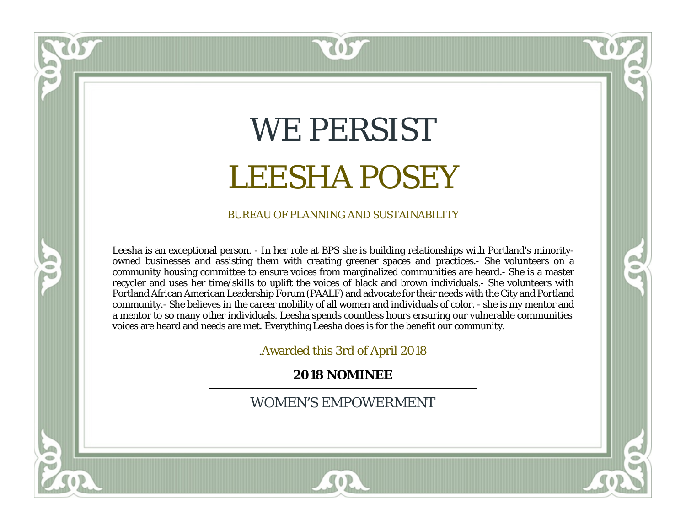### WE PERSIST LEESHA POSEY

**SO2** 

#### BUREAU OF PLANNING AND SUSTAINABILITY

Leesha is an exceptional person. - In her role at BPS she is building relationships with Portland's minorityowned businesses and assisting them with creating greener spaces and practices.- She volunteers on a community housing committee to ensure voices from marginalized communities are heard.- She is a master recycler and uses her time/skills to uplift the voices of black and brown individuals.- She volunteers with Portland African American Leadership Forum (PAALF) and advocate for their needs with the City and Portland community.- She believes in the career mobility of all women and individuals of color. - she is my mentor and a mentor to so many other individuals. Leesha spends countless hours ensuring our vulnerable communities' voices are heard and needs are met. Everything Leesha does is for the benefit our community.

ត

.Awarded this 3rd of April 2018

**2018 NOMINEE**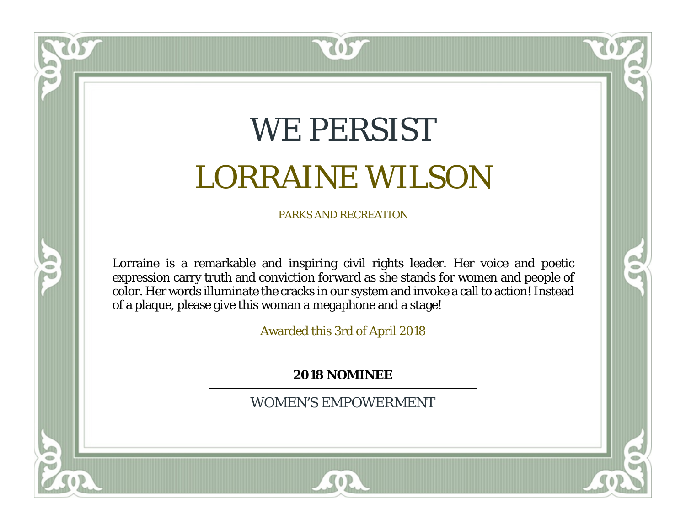### WE PERSIST LORRAINE WILSON

 $\bullet$ <sup>5</sup>

PARKS AND RECREATION

Lorraine is a remarkable and inspiring civil rights leader. Her voice and poetic expression carry truth and conviction forward as she stands for women and people of color. Her words illuminate the cracks in our system and invoke a call to action! Instead of a plaque, please give this woman a megaphone and a stage!

Awarded this 3rd of April 2018

**2018 NOMINEE**